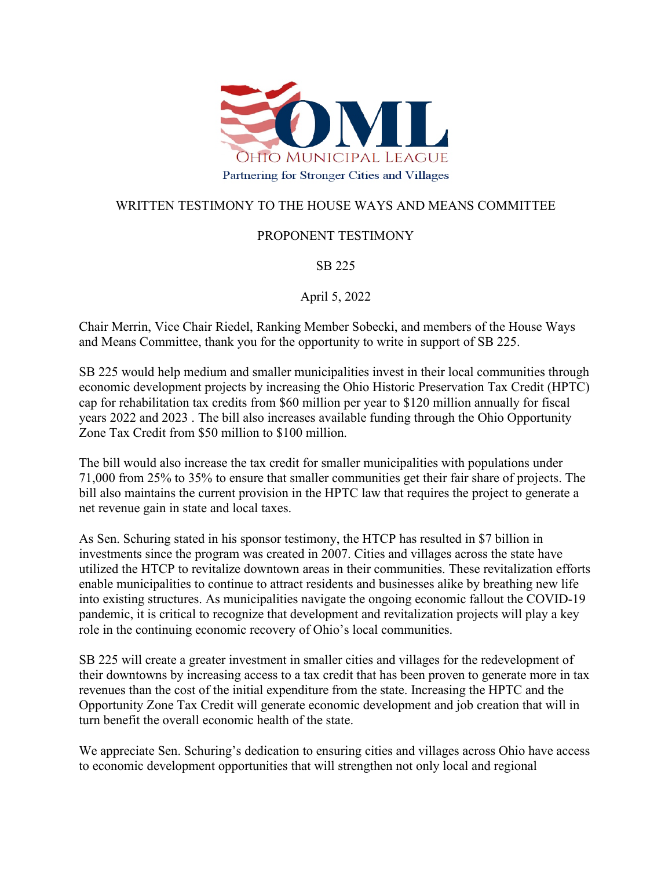

## WRITTEN TESTIMONY TO THE HOUSE WAYS AND MEANS COMMITTEE

## PROPONENT TESTIMONY

SB 225

April 5, 2022

Chair Merrin, Vice Chair Riedel, Ranking Member Sobecki, and members of the House Ways and Means Committee, thank you for the opportunity to write in support of SB 225.

SB 225 would help medium and smaller municipalities invest in their local communities through economic development projects by increasing the Ohio Historic Preservation Tax Credit (HPTC) cap for rehabilitation tax credits from \$60 million per year to \$120 million annually for fiscal years 2022 and 2023 . The bill also increases available funding through the Ohio Opportunity Zone Tax Credit from \$50 million to \$100 million.

The bill would also increase the tax credit for smaller municipalities with populations under 71,000 from 25% to 35% to ensure that smaller communities get their fair share of projects. The bill also maintains the current provision in the HPTC law that requires the project to generate a net revenue gain in state and local taxes.

As Sen. Schuring stated in his sponsor testimony, the HTCP has resulted in \$7 billion in investments since the program was created in 2007. Cities and villages across the state have utilized the HTCP to revitalize downtown areas in their communities. These revitalization efforts enable municipalities to continue to attract residents and businesses alike by breathing new life into existing structures. As municipalities navigate the ongoing economic fallout the COVID-19 pandemic, it is critical to recognize that development and revitalization projects will play a key role in the continuing economic recovery of Ohio's local communities.

SB 225 will create a greater investment in smaller cities and villages for the redevelopment of their downtowns by increasing access to a tax credit that has been proven to generate more in tax revenues than the cost of the initial expenditure from the state. Increasing the HPTC and the Opportunity Zone Tax Credit will generate economic development and job creation that will in turn benefit the overall economic health of the state.

We appreciate Sen. Schuring's dedication to ensuring cities and villages across Ohio have access to economic development opportunities that will strengthen not only local and regional